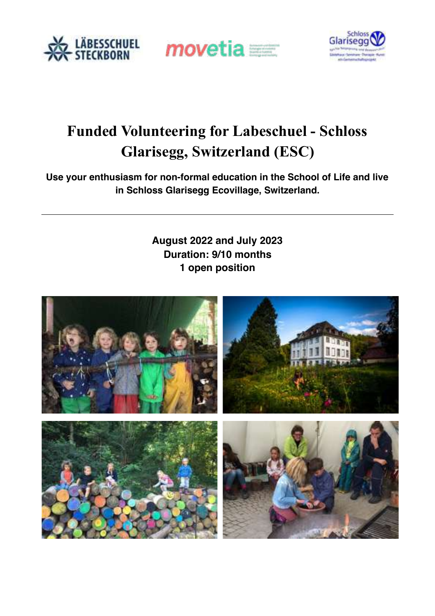





# **Funded Volunteering for Labeschuel - Schloss Glarisegg, Switzerland (ESC)**

**Use your enthusiasm for non-formal education in the School of Life and live in Schloss Glarisegg Ecovillage, Switzerland.**

> **August 2022 and July 2023 Duration: 9/10 months 1 open position**

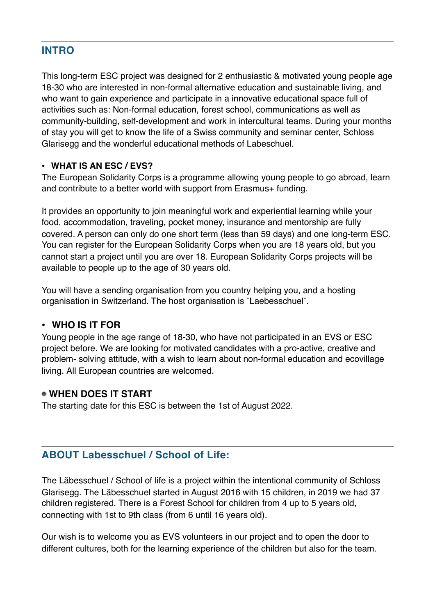# **INTRO**

This long-term ESC project was designed for 2 enthusiastic & motivated young people age 18-30 who are interested in non-formal alternative education and sustainable living, and who want to gain experience and participate in a innovative educational space full of activities such as: Non-formal education, forest school, communications as well as community-building, self-development and work in intercultural teams. During your months of stay you will get to know the life of a Swiss community and seminar center, Schloss Glarisegg and the wonderful educational methods of Labeschuel.

## **• WHAT IS AN ESC / EVS?**

The European Solidarity Corps is a programme allowing young people to go abroad, learn and contribute to a better world with support from Erasmus+ funding.

It provides an opportunity to join meaningful work and experiential learning while your food, accommodation, traveling, pocket money, insurance and mentorship are fully covered. A person can only do one short term (less than 59 days) and one long-term ESC. You can register for the European Solidarity Corps when you are 18 years old, but you cannot start a project until you are over 18. European Solidarity Corps projects will be available to people up to the age of 30 years old.

You will have a sending organisation from you country helping you, and a hosting organisation in Switzerland. The host organisation is ¨Laebesschuel¨.

## **• WHO IS IT FOR**

Young people in the age range of 18-30, who have not participated in an EVS or ESC project before. We are looking for motivated candidates with a pro-active, creative and problem- solving attitude, with a wish to learn about non-formal education and ecovillage living. All European countries are welcomed.

## **WHEN DOES IT START**

The starting date for this ESC is between the 1st of August 2022.

# **ABOUT Labesschuel / School of Life:**

The Läbesschuel / School of life is a project within the intentional community of Schloss Glarisegg. The Läbesschuel started in August 2016 with 15 children, in 2019 we had 37 children registered. There is a Forest School for children from 4 up to 5 years old, connecting with 1st to 9th class (from 6 until 16 years old).

Our wish is to welcome you as EVS volunteers in our project and to open the door to different cultures, both for the learning experience of the children but also for the team.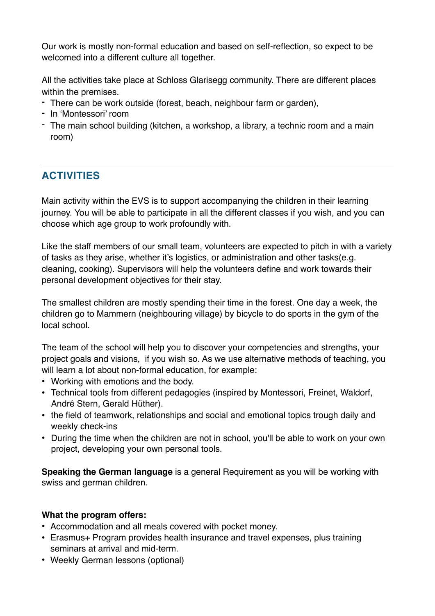Our work is mostly non-formal education and based on self-reflection, so expect to be welcomed into a different culture all together.

All the activities take place at Schloss Glarisegg community. There are different places within the premises.

- There can be work outside (forest, beach, neighbour farm or garden),
- In 'Montessori' room
- The main school building (kitchen, a workshop, a library, a technic room and a main room)

# **ACTIVITIES**

Main activity within the EVS is to support accompanying the children in their learning journey. You will be able to participate in all the different classes if you wish, and you can choose which age group to work profoundly with.

Like the staff members of our small team, volunteers are expected to pitch in with a variety of tasks as they arise, whether it's logistics, or administration and other tasks(e.g. cleaning, cooking). Supervisors will help the volunteers define and work towards their personal development objectives for their stay.

The smallest children are mostly spending their time in the forest. One day a week, the children go to Mammern (neighbouring village) by bicycle to do sports in the gym of the local school.

The team of the school will help you to discover your competencies and strengths, your project goals and visions, if you wish so. As we use alternative methods of teaching, you will learn a lot about non-formal education, for example:

- Working with emotions and the body.
- Technical tools from different pedagogies (inspired by Montessori, Freinet, Waldorf, André Stern, Gerald Hüther).
- the field of teamwork, relationships and social and emotional topics trough daily and weekly check-ins
- During the time when the children are not in school, you'll be able to work on your own project, developing your own personal tools.

**Speaking the German language** is a general Requirement as you will be working with swiss and german children.

## **What the program offers:**

- Accommodation and all meals covered with pocket money.
- Erasmus+ Program provides health insurance and travel expenses, plus training seminars at arrival and mid-term.
- Weekly German lessons (optional)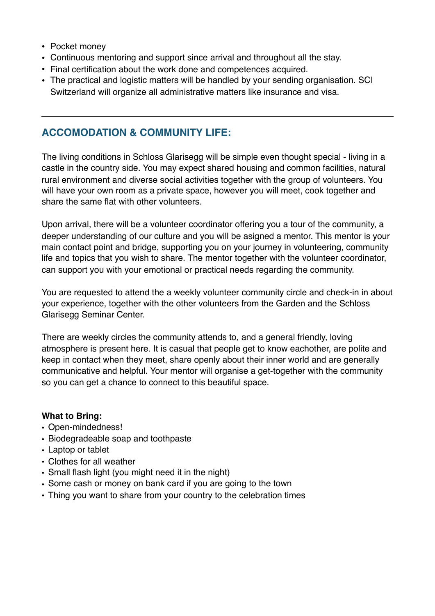- Pocket money
- Continuous mentoring and support since arrival and throughout all the stay.
- Final certification about the work done and competences acquired.
- The practical and logistic matters will be handled by your sending organisation. SCI Switzerland will organize all administrative matters like insurance and visa.

## **ACCOMODATION & COMMUNITY LIFE:**

The living conditions in Schloss Glarisegg will be simple even thought special - living in a castle in the country side. You may expect shared housing and common facilities, natural rural environment and diverse social activities together with the group of volunteers. You will have your own room as a private space, however you will meet, cook together and share the same flat with other volunteers.

Upon arrival, there will be a volunteer coordinator offering you a tour of the community, a deeper understanding of our culture and you will be asigned a mentor. This mentor is your main contact point and bridge, supporting you on your journey in volunteering, community life and topics that you wish to share. The mentor together with the volunteer coordinator, can support you with your emotional or practical needs regarding the community.

You are requested to attend the a weekly volunteer community circle and check-in in about your experience, together with the other volunteers from the Garden and the Schloss Glarisegg Seminar Center.

There are weekly circles the community attends to, and a general friendly, loving atmosphere is present here. It is casual that people get to know eachother, are polite and keep in contact when they meet, share openly about their inner world and are generally communicative and helpful. Your mentor will organise a get-together with the community so you can get a chance to connect to this beautiful space.

#### **What to Bring:**

- Open-mindedness!
- Biodegradeable soap and toothpaste
- Laptop or tablet
- Clothes for all weather
- Small flash light (you might need it in the night)
- Some cash or money on bank card if you are going to the town
- Thing you want to share from your country to the celebration times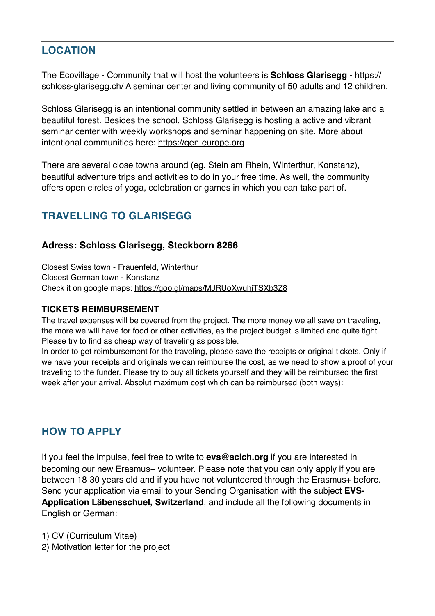# **LOCATION**

The Ecovillage - Community that will host the volunteers is **Schloss Glarisegg** - https:// [schloss-glarisegg.ch/ A seminar center and living community of 50 adults and 12 children](https://schloss-glarisegg.ch/).

Schloss Glarisegg is an intentional community settled in between an amazing lake and a beautiful forest. Besides the school, Schloss Glarisegg is hosting a active and vibrant seminar center with weekly workshops and seminar happening on site. More about intentional communities here:<https://gen-europe.org>

There are several close towns around (eg. Stein am Rhein, Winterthur, Konstanz), beautiful adventure trips and activities to do in your free time. As well, the community offers open circles of yoga, celebration or games in which you can take part of.

# **TRAVELLING TO GLARISEGG**

## **Adress: Schloss Glarisegg, Steckborn 8266**

Closest Swiss town - Frauenfeld, Winterthur Closest German town - Konstanz Check it on google maps:<https://goo.gl/maps/MJRUoXwuhjTSXb3Z8>

#### **TICKETS REIMBURSEMENT**

The travel expenses will be covered from the project. The more money we all save on traveling, the more we will have for food or other activities, as the project budget is limited and quite tight. Please try to find as cheap way of traveling as possible.

In order to get reimbursement for the traveling, please save the receipts or original tickets. Only if we have your receipts and originals we can reimburse the cost, as we need to show a proof of your traveling to the funder. Please try to buy all tickets yourself and they will be reimbursed the first week after your arrival. Absolut maximum cost which can be reimbursed (both ways):

# **HOW TO APPLY**

If you feel the impulse, feel free to write to **evs@scich.org** if you are interested in becoming our new Erasmus+ volunteer. Please note that you can only apply if you are between 18-30 years old and if you have not volunteered through the Erasmus+ before. Send your application via email to your Sending Organisation with the subject **EVS-Application Läbensschuel, Switzerland**, and include all the following documents in English or German:

1) CV (Curriculum Vitae)

2) Motivation letter for the project